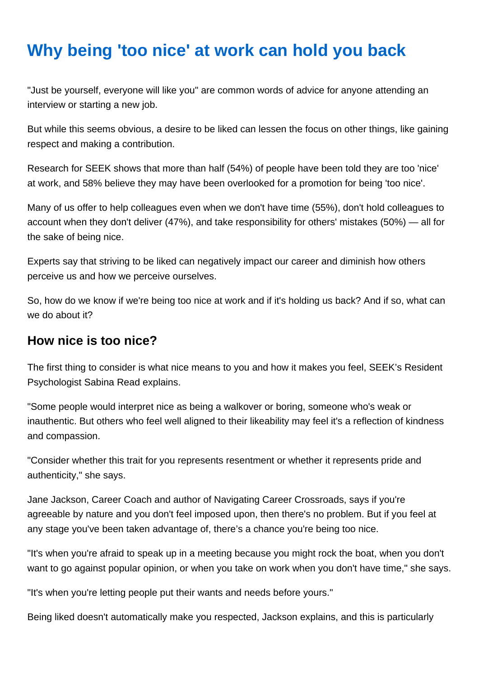## **Why being 'too nice' at work can hold you back**

"Just be yourself, everyone will like you" are common words of advice for anyone attending an interview or starting a new job.

But while this seems obvious, a desire to be liked can lessen the focus on other things, like gaining respect and making a contribution.

Research for SEEK shows that more than half (54%) of people have been told they are too 'nice' at work, and 58% believe they may have been overlooked for a promotion for being 'too nice'.

Many of us offer to help colleagues even when we don't have time (55%), don't hold colleagues to account when they don't deliver (47%), and take responsibility for others' mistakes (50%) — all for the sake of being nice.

Experts say that striving to be liked can negatively impact our career and diminish how others perceive us and how we perceive ourselves.

So, how do we know if we're being too nice at work and if it's holding us back? And if so, what can we do about it?

## **How nice is too nice?**

The first thing to consider is what nice means to you and how it makes you feel, SEEK's Resident Psychologist Sabina Read explains.

"Some people would interpret nice as being a walkover or boring, someone who's weak or inauthentic. But others who feel well aligned to their likeability may feel it's a reflection of kindness and compassion.

"Consider whether this trait for you represents resentment or whether it represents pride and authenticity," she says.

Jane Jackson, Career Coach and author of Navigating Career Crossroads, says if you're agreeable by nature and you don't feel imposed upon, then there's no problem. But if you feel at any stage you've been taken advantage of, there's a chance you're being too nice.

"It's when you're afraid to speak up in a meeting because you might rock the boat, when you don't want to go against popular opinion, or when you take on work when you don't have time," she says.

"It's when you're letting people put their wants and needs before yours."

Being liked doesn't automatically make you respected, Jackson explains, and this is particularly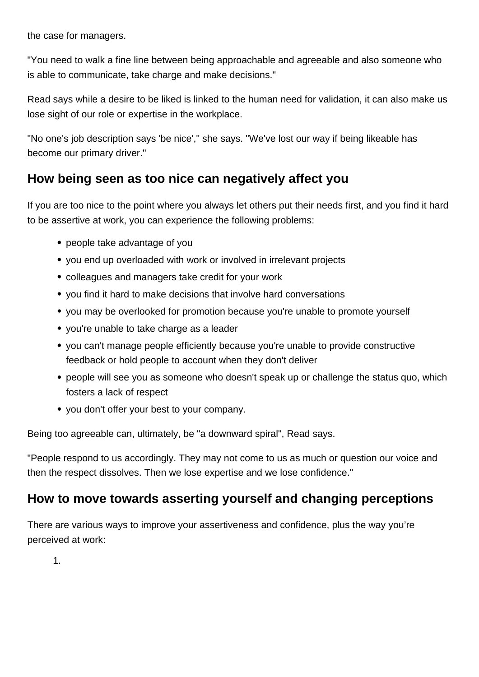the case for managers.

"You need to walk a fine line between being approachable and agreeable and also someone who is able to communicate, take charge and make decisions."

Read says while a desire to be liked is linked to the human need for validation, it can also make us lose sight of our role or expertise in the workplace.

"No one's job description says 'be nice'," she says. "We've lost our way if being likeable has become our primary driver."

## **How being seen as too nice can negatively affect you**

If you are too nice to the point where you always let others put their needs first, and you find it hard to be assertive at work, you can experience the following problems:

- people take advantage of you
- you end up overloaded with work or involved in irrelevant projects
- colleagues and managers take credit for your work
- you find it hard to make decisions that involve hard conversations
- you may be overlooked for promotion because you're unable to promote yourself
- you're unable to take charge as a leader
- you can't manage people efficiently because you're unable to provide constructive feedback or hold people to account when they don't deliver
- people will see you as someone who doesn't speak up or challenge the status quo, which fosters a lack of respect
- you don't offer your best to your company.

Being too agreeable can, ultimately, be "a downward spiral", Read says.

"People respond to us accordingly. They may not come to us as much or question our voice and then the respect dissolves. Then we lose expertise and we lose confidence."

## **How to move towards asserting yourself and changing perceptions**

There are various ways to improve your assertiveness and confidence, plus the way you're perceived at work:

1.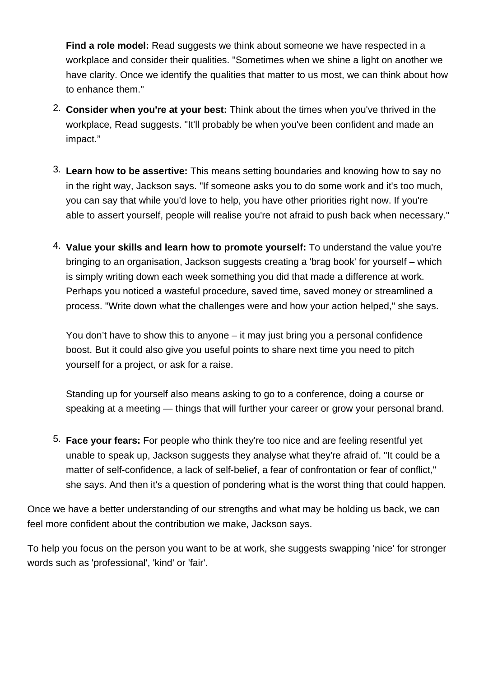**Find a role model:** Read suggests we think about someone we have respected in a workplace and consider their qualities. "Sometimes when we shine a light on another we have clarity. Once we identify the qualities that matter to us most, we can think about how to enhance them."

- 2. **Consider when you're at your best:** Think about the times when you've thrived in the workplace, Read suggests. "It'll probably be when you've been confident and made an impact."
- 3. **Learn how to be assertive:** This means setting boundaries and knowing how to say no in the right way, Jackson says. "If someone asks you to do some work and it's too much, you can say that while you'd love to help, you have other priorities right now. If you're able to assert yourself, people will realise you're not afraid to push back when necessary."
- 4. **Value your skills and learn how to promote yourself:** To understand the value you're bringing to an organisation, Jackson suggests creating a 'brag book' for yourself – which is simply writing down each week something you did that made a difference at work. Perhaps you noticed a wasteful procedure, saved time, saved money or streamlined a process. "Write down what the challenges were and how your action helped," she says.

You don't have to show this to anyone – it may just bring you a personal confidence boost. But it could also give you useful points to share next time you need to pitch yourself for a project, or ask for a raise.

Standing up for yourself also means asking to go to a conference, doing a course or speaking at a meeting — things that will further your career or grow your personal brand.

5. **Face your fears:** For people who think they're too nice and are feeling resentful yet unable to speak up, Jackson suggests they analyse what they're afraid of. "It could be a matter of self-confidence, a lack of self-belief, a fear of confrontation or fear of conflict," she says. And then it's a question of pondering what is the worst thing that could happen.

Once we have a better understanding of our strengths and what may be holding us back, we can feel more confident about the contribution we make, Jackson says.

To help you focus on the person you want to be at work, she suggests swapping 'nice' for stronger words such as 'professional', 'kind' or 'fair'.